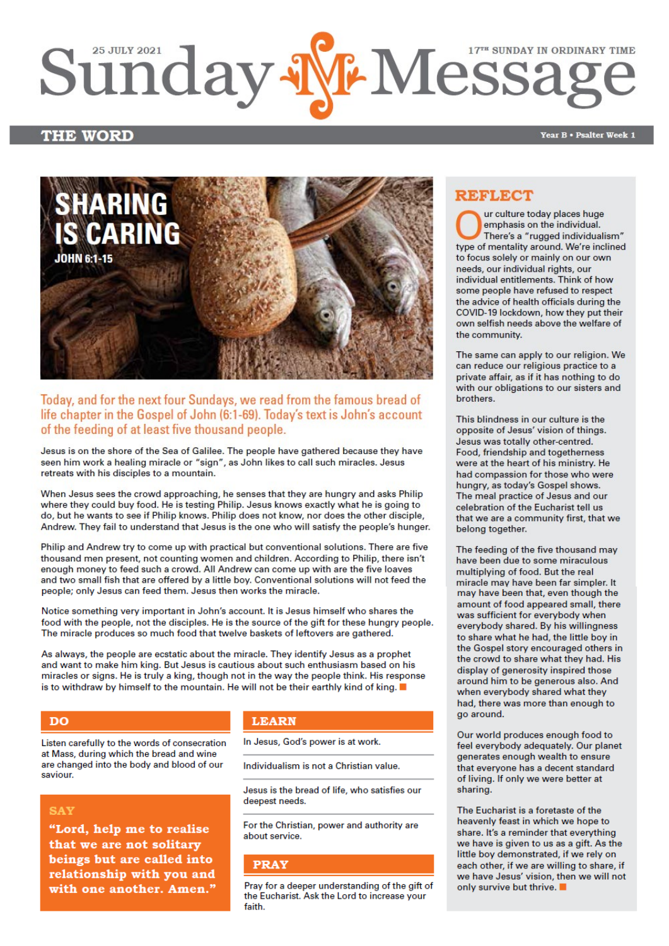# Sund day W. Message

# **THE WORD**

SHARING **S CARING JOHN 6:1-15** 

Today, and for the next four Sundays, we read from the famous bread of life chapter in the Gospel of John (6:1-69). Today's text is John's account of the feeding of at least five thousand people.

Jesus is on the shore of the Sea of Galilee. The people have gathered because they have seen him work a healing miracle or "sign", as John likes to call such miracles. Jesus retreats with his disciples to a mountain.

When Jesus sees the crowd approaching, he senses that they are hungry and asks Philip where they could buy food. He is testing Philip. Jesus knows exactly what he is going to do, but he wants to see if Philip knows. Philip does not know, nor does the other disciple, Andrew. They fail to understand that Jesus is the one who will satisfy the people's hunger.

Philip and Andrew try to come up with practical but conventional solutions. There are five thousand men present, not counting women and children. According to Philip, there isn't enough money to feed such a crowd. All Andrew can come up with are the five loaves and two small fish that are offered by a little boy. Conventional solutions will not feed the people; only Jesus can feed them. Jesus then works the miracle.

Notice something very important in John's account. It is Jesus himself who shares the food with the people, not the disciples. He is the source of the gift for these hungry people. The miracle produces so much food that twelve baskets of leftovers are gathered.

As always, the people are ecstatic about the miracle. They identify Jesus as a prophet and want to make him king. But Jesus is cautious about such enthusiasm based on his miracles or signs. He is truly a king, though not in the way the people think. His response is to withdraw by himself to the mountain. He will not be their earthly kind of king.

### **DO**

Listen carefully to the words of consecration at Mass, during which the bread and wine are changed into the body and blood of our saviour.

### **SAY**

"Lord, help me to realise that we are not solitary beings but are called into relationship with you and with one another. Amen."

### **LEARN**

In Jesus, God's power is at work.

Individualism is not a Christian value.

Jesus is the bread of life, who satisfies our deepest needs.

For the Christian, power and authority are about service.

### **PRAY**

Pray for a deeper understanding of the gift of the Eucharist. Ask the Lord to increase your faith.

# **REFLECT**

ur culture today places huge emphasis on the individual. There's a "rugged individualism" type of mentality around. We're inclined to focus solely or mainly on our own needs, our individual rights, our individual entitlements. Think of how some people have refused to respect the advice of health officials during the COVID-19 lockdown, how they put their own selfish needs above the welfare of the community.

Year B . Psalter Week 1

The same can apply to our religion. We can reduce our religious practice to a private affair, as if it has nothing to do with our obligations to our sisters and brothers.

This blindness in our culture is the opposite of Jesus' vision of things. Jesus was totally other-centred. Food, friendship and togetherness were at the heart of his ministry. He had compassion for those who were hungry, as today's Gospel shows. The meal practice of Jesus and our celebration of the Eucharist tell us that we are a community first, that we belong together.

The feeding of the five thousand may have been due to some miraculous multiplying of food. But the real miracle may have been far simpler. It may have been that, even though the amount of food appeared small, there was sufficient for everybody when everybody shared. By his willingness to share what he had, the little boy in the Gospel story encouraged others in the crowd to share what they had. His display of generosity inspired those around him to be generous also. And when everybody shared what they had, there was more than enough to go around.

Our world produces enough food to feel everybody adequately. Our planet generates enough wealth to ensure that everyone has a decent standard of living. If only we were better at sharing.

The Eucharist is a foretaste of the heavenly feast in which we hope to share. It's a reminder that everything we have is given to us as a gift. As the little boy demonstrated, if we rely on each other, if we are willing to share, if we have Jesus' vision, then we will not only survive but thrive.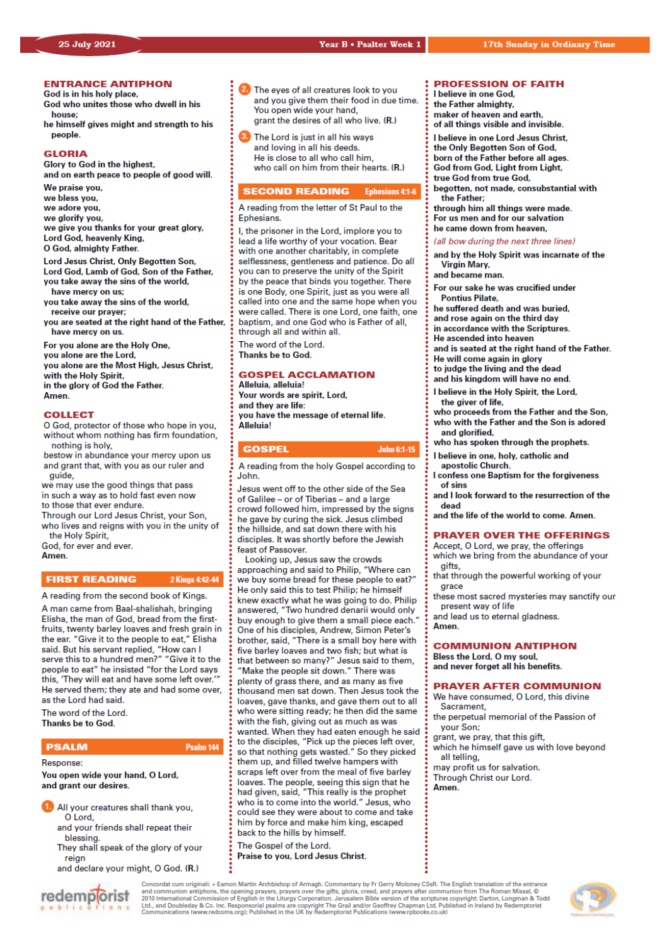### **ENTRANCE ANTIPHON**

- God is in his holy place, God who unites those who dwell in his house:
- he himself gives might and strength to his people.

### **GLORIA**

Glory to God in the highest, and on earth peace to people of good will.

We praise you,

we bless you,

we adore you,

we glorify you,

we give you thanks for your great glory, Lord God, heavenly King,

O God, almighty Father.

Lord Jesus Christ, Only Begotten Son,

- Lord God, Lamb of God, Son of the Father, you take away the sins of the world,
- have mercy on us;
- you take away the sins of the world, receive our prayer;
- you are seated at the right hand of the Father, have mercy on us.

For you alone are the Holy One,

you alone are the Lord,

you alone are the Most High, Jesus Christ,

with the Holy Spirit, in the glory of God the Father.

Amen.

### **COLLECT**

O God, protector of those who hope in you, without whom nothing has firm foundation, nothing is holy.

- bestow in abundance your mercy upon us and grant that, with you as our ruler and quide,
- we may use the good things that pass in such a way as to hold fast even now

to those that ever endure. Through our Lord Jesus Christ, your Son,

who lives and reigns with you in the unity of the Holy Spirit,

2 Kings 4:42-44

**Psalm 144** 

God, for ever and ever.

**Amen** 

### **FIRST READING**

A reading from the second book of Kings.

A man came from Baal-shalishah, bringing Elisha, the man of God, bread from the firstfruits, twenty barley loaves and fresh grain in the ear. "Give it to the people to eat," Elisha said. But his servant replied, "How can I<br>serve this to a hundred men?" "Give it to the people to eat" he insisted "for the Lord says this. 'They will eat and have some left over.' He served them; they ate and had some over, as the Lord had said

The word of the Lord.

### Thanks he to God.

### **PSALM**

**Response** 

You open wide your hand, O Lord, and grant our desires.

All your creatures shall thank you, O Lord.

- and your friends shall repeat their blessing.
- They shall speak of the glory of your reian
- and declare your might, O God. (R.)



3. The Lord is just in all his ways and loving in all his deeds. He is close to all who call him, who call on him from their hearts. (R.)

### **SECOND READING Ephesians 4:1-6**

A reading from the letter of St Paul to the Ephesians.

I, the prisoner in the Lord, implore you to lead a life worthy of your vocation. Bear with one another charitably, in complete selflessness, gentleness and patience. Do all you can to preserve the unity of the Spirit by the peace that binds you together. There is one Body, one Spirit, just as you were all called into one and the same hope when you were called. There is one Lord, one faith, one baptism, and one God who is Father of all, through all and within all.

The word of the Lord. **Thanks be to God.** 

### **GOSPEL ACCLAMATION**

Alleluia, alleluia! Your words are spirit, Lord. and they are life: you have the message of eternal life. **Alleluia!** 

### **GOSPEL**

A reading from the holy Gospel according to John.

Jesus went off to the other side of the Sea of Galilee - or of Tiberias - and a large crowd followed him, impressed by the signs he gave by curing the sick. Jesus climbed the hillside, and sat down there with his disciples. It was shortly before the Jewish feast of Passover.

Looking up, Jesus saw the crowds approaching and said to Philip, "Where can we buy some bread for these people to eat?' He only said this to test Philip; he himself knew exactly what he was going to do. Philip answered. "Two hundred denarii would only buy enough to give them a small piece each." One of his disciples, Andrew, Simon Peter's brother, said, "There is a small boy here with five barley loaves and two fish; but what is that between so many?" Jesus said to them, "Make the people sit down." There was plenty of grass there, and as many as five thousand men sat down. Then Jesus took the loaves, gave thanks, and gave them out to all who were sitting ready; he then did the same with the fish, giving out as much as was wanted. When they had eaten enough he said to the disciples, "Pick up the pieces left over, so that nothing gets wasted." So they picked them up, and filled twelve hampers with scraps left over from the meal of five barley loaves. The people, seeing this sign that he had given, said, "This really is the prophet who is to come into the world." Jesus, who could see they were about to come and take him by force and make him king, escaped back to the hills by himself.

The Gospel of the Lord.

Praise to you, Lord Jesus Christ.

Concordat cum originali: + Eamon Martin Archbishop of Armagh, Commentary by Fr Gerry Moloney CSsR. The English translation of the entrance and communion antiphons, the opening prayers, prayers over the gifts, gloria, creed, and prayers after communion from The Roman Missal, @<br>2010 International Commission of English in the Liturgy Corporation. Jerusalem Bible

### **PROFESSION OF FAITH**

I believe in one God, the Father almighty, maker of heaven and earth. of all things visible and invisible.

I believe in one Lord Jesus Christ, the Only Begotten Son of God, born of the Father before all ages. God from God, Light from Light,

true God from true God. begotten, not made, consubstantial with the Father;

through him all things were made. For us men and for our salvation he came down from heaven.

(all bow during the next three lines)

- and by the Holy Spirit was incarnate of the **Virgin Marv.**
- and became man.

For our sake he was crucified under **Pontius Pilate.** 

- he suffered death and was buried,
- and rose again on the third day
- in accordance with the Scriptures.
- He ascended into heaven
- and is seated at the right hand of the Father.
- He will come again in glory
- to judge the living and the dead
- and his kingdom will have no end.
- I believe in the Holy Spirit, the Lord, the giver of life,
- who proceeds from the Father and the Son, who with the Father and the Son is adored and glorified.
- who has spoken through the prophets.
- I believe in one, holy, catholic and
- apostolic Church.

**John 6:1-15** 

- I confess one Baptism for the forgiveness of sins
- and I look forward to the resurrection of the dead
- and the life of the world to come. Amen

### **PRAYER OVER THE OFFERINGS**

- Accept, O Lord, we pray, the offerings which we bring from the abundance of your gifts.
- that through the powerful working of your grace
- these most sacred mysteries may sanctify our present way of life
- and lead us to eternal gladness. Amen

**COMMUNION ANTIPHON** 

Bless the Lord, O my soul, and never forget all his benefits.

### **DRAVER AFTER COMMUNION**

- We have consumed, O Lord, this divine Sacrament
- the perpetual memorial of the Passion of
- vour Son: grant, we pray, that this gift,
- 
- which he himself gave us with love beyond all telling,
- may profit us for salvation.
- Through Christ our Lord.
- Amen.

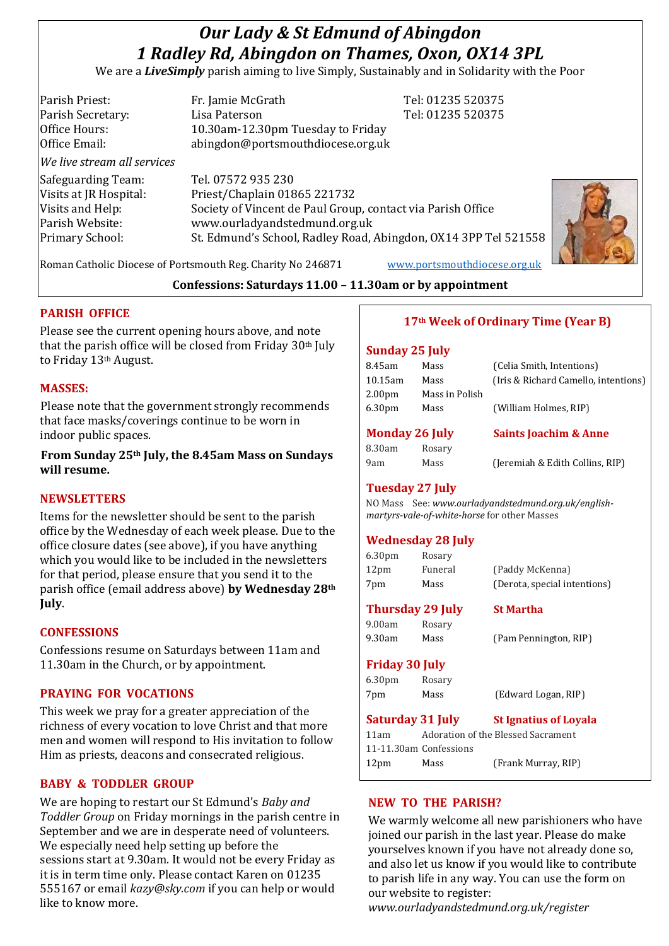# *Our Lady & St Edmund of Abingdon 1 Radley Rd, Abingdon on Thames, Oxon, OX14 3PL*

We are a *LiveSimply* parish aiming to live Simply, Sustainably and in Solidarity with the Poor

Parish Priest: Fr. Jamie McGrath Tel: 01235 520375 Parish Secretary: Tel: 01235 520375 Office Hours: 10.30am-12.30pm Tuesday to Friday Office Email: abingdon@portsmouthdiocese.org.uk *We live stream all services* Safeguarding Team: Tel. 07572 935 230 Visits at JR Hospital: Priest/Chaplain 01865 221732 Visits and Help: Society of Vincent de Paul Group, contact via Parish Office Parish Website: www.ourladyandstedmund.org.uk Primary School: St. Edmund's School, Radley Road, Abingdon, OX14 3PP Tel 521558



Roman Catholic Diocese of Portsmouth Reg. Charity No 246871 [www.portsmouthdiocese.org.uk](http://www.portsmouthdiocese.org.uk/)

# **Confessions: Saturdays 11.00 – 11.30am or by appointment**

### **PARISH OFFICE**

Please see the current opening hours above, and note that the parish office will be closed from Friday 30th July to Friday 13th August.

### **MASSES:**

Please note that the government strongly recommends that face masks/coverings continue to be worn in indoor public spaces.

**From Sunday 25th July, the 8.45am Mass on Sundays will resume.**

# **NEWSLETTERS**

Items for the newsletter should be sent to the parish office by the Wednesday of each week please. Due to the office closure dates (see above), if you have anything which you would like to be included in the newsletters for that period, please ensure that you send it to the parish office (email address above) **by Wednesday 28th July**.

# **CONFESSIONS**

Confessions resume on Saturdays between 11am and 11.30am in the Church, or by appointment.

# **PRAYING FOR VOCATIONS**

This week we pray for a greater appreciation of the richness of every vocation to love Christ and that more men and women will respond to His invitation to follow Him as priests, deacons and consecrated religious.

# **BABY & TODDLER GROUP**

We are hoping to restart our St Edmund's *Baby and Toddler Group* on Friday mornings in the parish centre in September and we are in desperate need of volunteers. We especially need help setting up before the sessions start at 9.30am. It would not be every Friday as it is in term time only. Please contact Karen on 01235 555167 or email *kazy@sky.com* if you can help or would like to know more.

# **17th Week of Ordinary Time (Year B)**

### **Sunday 25 July**

| 8.45am                | Mass           | (Celia Smith, Intentions)            |
|-----------------------|----------------|--------------------------------------|
| 10.15am               | Mass           | (Iris & Richard Camello, intentions) |
| 2.00 <sub>pm</sub>    | Mass in Polish |                                      |
| 6.30 <sub>pm</sub>    | Mass           | (William Holmes, RIP)                |
|                       |                |                                      |
| <b>Monday 26 July</b> |                | <b>Saints Joachim &amp; Anne</b>     |
| 8.30am                | Rosary         |                                      |
| 9am                   | Mass           | (Jeremiah & Edith Collins, RIP)      |
|                       |                |                                      |

# **Tuesday 27 July**

NO Mass See: *www.ourladyandstedmund.org.uk/englishmartyrs-vale-of-white-horse* for other Masses

# **Wednesday 28 July**

| 6.30 <sub>pm</sub> | Rosary  |                              |
|--------------------|---------|------------------------------|
| 12 <sub>pm</sub>   | Funeral | (Paddy McKenna)              |
| 7pm                | Mass    | (Derota, special intentions) |

| <b>Thursday 29 July</b> |        |
|-------------------------|--------|
| 9.00am                  | Rosary |

**St Martha** 

9.30am Mass (Pam Pennington, RIP)

### **Friday 30 July**

6.30pm Rosary 7pm Mass (Edward Logan, RIP)

# **Saturday 31 July St Ignatius of Loyala**

| 11am |                        | Adoration of the Blessed Sacrament |
|------|------------------------|------------------------------------|
|      | 11-11.30am Confessions |                                    |
| 12pm | Mass                   | (Frank Murray, RIP)                |

# **NEW TO THE PARISH?**

We warmly welcome all new parishioners who have joined our parish in the last year. Please do make yourselves known if you have not already done so, and also let us know if you would like to contribute to parish life in any way. You can use the form on our website to register:

*www.ourladyandstedmund.org.uk/register*